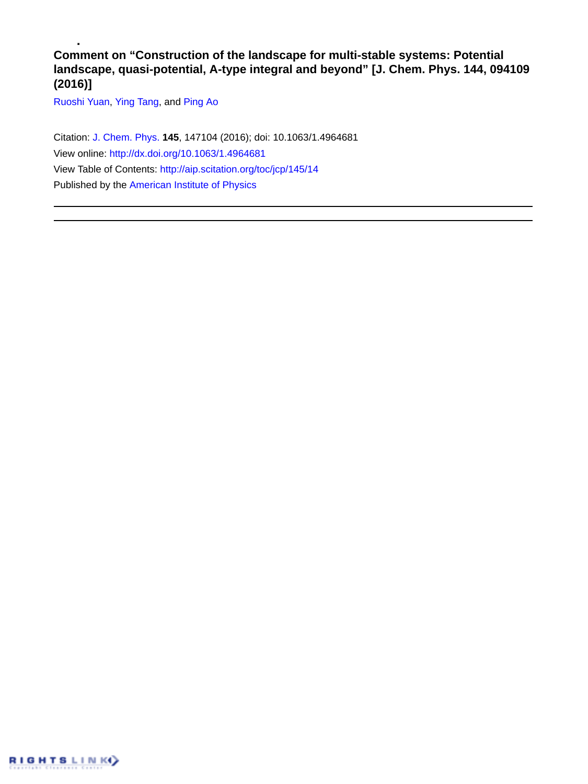## **Comment on "Construction of the landscape for multi-stable systems: Potential landscape, quasi-potential, A-type integral and beyond" [J. Chem. Phys. 144, 094109 (2016)]**

[Ruoshi Yuan,](http://aip.scitation.org/author/Yuan%2C+Ruoshi) [Ying Tang](http://aip.scitation.org/author/Tang%2C+Ying), and [Ping Ao](http://aip.scitation.org/author/Ao%2C+Ping)

Citation: [J. Chem. Phys.](/loi/jcp) **145**, 147104 (2016); doi: 10.1063/1.4964681 View online: <http://dx.doi.org/10.1063/1.4964681> View Table of Contents: <http://aip.scitation.org/toc/jcp/145/14> Published by the [American Institute of Physics](http://aip.scitation.org/publisher/)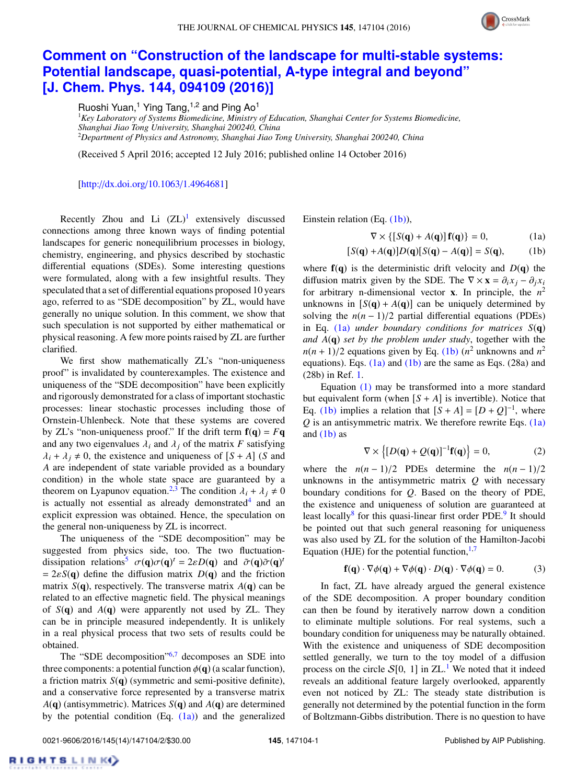

## **[Comment on "Construction of the landscape for multi-stable systems:](http://dx.doi.org/10.1063/1.4964681) [Potential landscape, quasi-potential, A-type integral and beyond"](http://dx.doi.org/10.1063/1.4964681) [\[J. Chem. Phys. 144, 094109 \(2016\)\]](http://dx.doi.org/10.1063/1.4964681)**

Ruoshi Yuan,<sup>1</sup> Ying Tang,<sup>1,2</sup> and Ping Ao<sup>1</sup>

<sup>1</sup>*Key Laboratory of Systems Biomedicine, Ministry of Education, Shanghai Center for Systems Biomedicine, Shanghai Jiao Tong University, Shanghai 200240, China* <sup>2</sup>*Department of Physics and Astronomy, Shanghai Jiao Tong University, Shanghai 200240, China*

(Received 5 April 2016; accepted 12 July 2016; published online 14 October 2016)

[\[http:](http://dx.doi.org/10.1063/1.4964681)//[dx.doi.org](http://dx.doi.org/10.1063/1.4964681)/[10.1063](http://dx.doi.org/10.1063/1.4964681)/[1.4964681\]](http://dx.doi.org/10.1063/1.4964681)

Recently Zhou and Li  $(ZL)^1$  $(ZL)^1$  extensively discussed connections among three known ways of finding potential landscapes for generic nonequilibrium processes in biology, chemistry, engineering, and physics described by stochastic differential equations (SDEs). Some interesting questions were formulated, along with a few insightful results. They speculated that a set of differential equations proposed 10 years ago, referred to as "SDE decomposition" by ZL, would have generally no unique solution. In this comment, we show that such speculation is not supported by either mathematical or physical reasoning. A few more points raised by ZL are further clarified.

We first show mathematically ZL's "non-uniqueness proof" is invalidated by counterexamples. The existence and uniqueness of the "SDE decomposition" have been explicitly and rigorously demonstrated for a class of important stochastic processes: linear stochastic processes including those of Ornstein-Uhlenbeck. Note that these systems are covered by ZL's "non-uniqueness proof." If the drift term  $f(q) = Fq$ and any two eigenvalues  $\lambda_i$  and  $\lambda_j$  of the matrix *F* satisfying  $\lambda_i + \lambda_j \neq 0$ , the existence and uniqueness of  $[S + A]$  (*S* and *A* are independent of state variable provided as a boundary condition) in the whole state space are guaranteed by a theorem on Lyapunov equation.<sup>[2](#page-2-1)[,3](#page-2-2)</sup> The condition  $\lambda_i + \lambda_j \neq 0$ is actually not essential as already demonstrated<sup>[4](#page-2-3)</sup> and an explicit expression was obtained. Hence, the speculation on the general non-uniqueness by ZL is incorrect.

The uniqueness of the "SDE decomposition" may be suggested from physics side, too. The two fluctuation-dissipation relations<sup>[5](#page-2-4)</sup>  $\sigma(\mathbf{q})\sigma(\mathbf{q})^t = 2\varepsilon D(\mathbf{q})$  and  $\tilde{\sigma}(\mathbf{q})\tilde{\sigma}(\mathbf{q})^t = 2\varepsilon S(\mathbf{q})$  define the diffusion matrix  $D(\mathbf{q})$  and the friction  $= 2\varepsilon S(q)$  define the diffusion matrix  $D(q)$  and the friction matrix  $S(\mathbf{q})$ , respectively. The transverse matrix  $A(\mathbf{q})$  can be related to an effective magnetic field. The physical meanings of *S*(q) and *A*(q) were apparently not used by ZL. They can be in principle measured independently. It is unlikely in a real physical process that two sets of results could be obtained.

The "SDE decomposition"<sup>[6](#page-2-5)[,7](#page-2-6)</sup> decomposes an SDE into three components: a potential function  $\phi(\mathbf{q})$  (a scalar function), a friction matrix *S*(q) (symmetric and semi-positive definite), and a conservative force represented by a transverse matrix *A*(q) (antisymmetric). Matrices *S*(q) and *A*(q) are determined by the potential condition  $(Eq. (1a))$  $(Eq. (1a))$  and the generalized Einstein relation (Eq. [\(1b\)\)](#page-1-1),

<span id="page-1-1"></span><span id="page-1-0"></span>
$$
\nabla \times \{ [S(\mathbf{q}) + A(\mathbf{q})] \mathbf{f}(\mathbf{q}) \} = 0,
$$
 (1a)

$$
[S(\mathbf{q}) + A(\mathbf{q})]D(\mathbf{q})[S(\mathbf{q}) - A(\mathbf{q})] = S(\mathbf{q}), \quad (1b)
$$

where  $f(q)$  is the deterministic drift velocity and  $D(q)$  the diffusion matrix given by the SDE. The  $\nabla \times \mathbf{x} = \partial_i x_i - \partial_j x_i$ for arbitrary n-dimensional vector **x**. In principle, the  $n^2$ unknowns in  $[S(q) + A(q)]$  can be uniquely determined by solving the  $n(n-1)/2$  partial differential equations (PDEs) in Eq. [\(1a\)](#page-1-0) *under boundary conditions for matrices S*(q) *and A*(q) *set by the problem under study*, together with the  $n(n+1)/2$  equations given by Eq. [\(1b\)](#page-1-1)  $(n^2$  unknowns and  $n^2$ <br>equations) Eqs. (1a) and (1b) are the same as Eqs. (28a) and equations). Eqs.  $(1a)$  and  $(1b)$  are the same as Eqs.  $(28a)$  and (28b) in Ref. [1.](#page-2-0)

Equation [\(1\)](#page-1-1) may be transformed into a more standard but equivalent form (when  $[S + A]$  is invertible). Notice that Eq. [\(1b\)](#page-1-1) implies a relation that  $[S + A] = [D + Q]^{-1}$ , where  $Q$  is an antisymmetric matrix. We therefore rewrite Eqs.  $(1a)$ and  $(1b)$  as l.

<span id="page-1-2"></span>
$$
\nabla \times \left\{ [D(\mathbf{q}) + Q(\mathbf{q})]^{-1} \mathbf{f}(\mathbf{q}) \right\} = 0, \tag{2}
$$

where the  $n(n-1)/2$  PDEs determine the  $n(n-1)/2$ unknowns in the antisymmetric matrix *Q* with necessary boundary conditions for *Q*. Based on the theory of PDE, the existence and uniqueness of solution are guaranteed at least locally<sup>[8](#page-2-7)</sup> for this quasi-linear first order PDE.<sup>[9](#page-2-8)</sup> It should be pointed out that such general reasoning for uniqueness was also used by ZL for the solution of the Hamilton-Jacobi Equation (HJE) for the potential function,  $1,7$  $1,7$ 

<span id="page-1-3"></span>
$$
\mathbf{f}(\mathbf{q}) \cdot \nabla \phi(\mathbf{q}) + \nabla \phi(\mathbf{q}) \cdot D(\mathbf{q}) \cdot \nabla \phi(\mathbf{q}) = 0.
$$
 (3)

In fact, ZL have already argued the general existence of the SDE decomposition. A proper boundary condition can then be found by iteratively narrow down a condition to eliminate multiple solutions. For real systems, such a boundary condition for uniqueness may be naturally obtained. With the existence and uniqueness of SDE decomposition settled generally, we turn to the toy model of a diffusion process on the circle  $S[0, 1]$  $S[0, 1]$  $S[0, 1]$  in ZL.<sup>1</sup> We noted that it indeed reveals an additional feature largely overlooked, apparently even not noticed by ZL: The steady state distribution is generally not determined by the potential function in the form of Boltzmann-Gibbs distribution. There is no question to have

RIGHTSLINK()